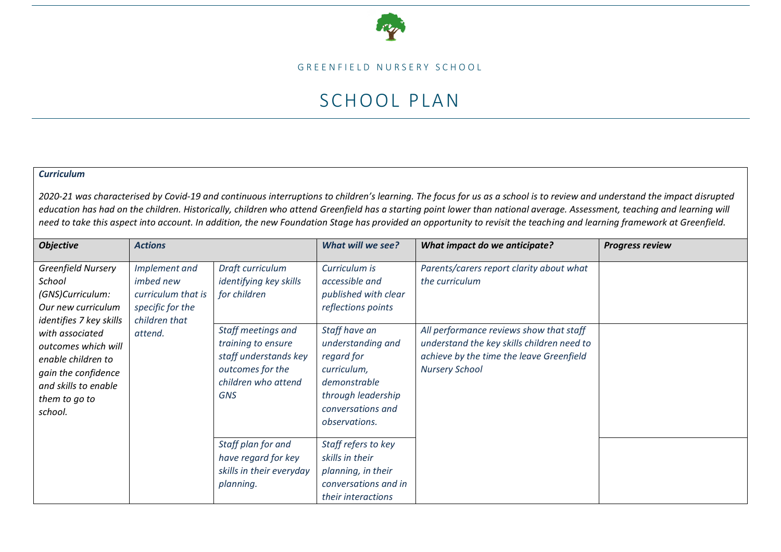

GREENFIELD NURSERY SCHOOL

## SCHOOL PLAN

## *Curriculum*

*2020-21 was characterised by Covid-19 and continuous interruptions to children's learning. The focus for us as a school is to review and understand the impact disrupted education has had on the children. Historically, children who attend Greenfield has a starting point lower than national average. Assessment, teaching and learning will need to take this aspect into account. In addition, the new Foundation Stage has provided an opportunity to revisit the teaching and learning framework at Greenfield.*

| <b>Objective</b>                                                                                                                                                                                                                                    | <b>Actions</b>                                                                                          |                                                                                                                                                                                          | What will we see?                                                                                                                                                                                                            | What impact do we anticipate?                                                                                                                                                                                            | <b>Progress review</b> |
|-----------------------------------------------------------------------------------------------------------------------------------------------------------------------------------------------------------------------------------------------------|---------------------------------------------------------------------------------------------------------|------------------------------------------------------------------------------------------------------------------------------------------------------------------------------------------|------------------------------------------------------------------------------------------------------------------------------------------------------------------------------------------------------------------------------|--------------------------------------------------------------------------------------------------------------------------------------------------------------------------------------------------------------------------|------------------------|
| <b>Greenfield Nursery</b><br>School<br>(GNS)Curriculum:<br>Our new curriculum<br>identifies 7 key skills<br>with associated<br>outcomes which will<br>enable children to<br>gain the confidence<br>and skills to enable<br>them to go to<br>school. | Implement and<br><i>imbed new</i><br>curriculum that is<br>specific for the<br>children that<br>attend. | Draft curriculum<br>identifying key skills<br>for children<br>Staff meetings and<br>training to ensure<br>staff understands key<br>outcomes for the<br>children who attend<br><b>GNS</b> | Curriculum is<br>accessible and<br>published with clear<br>reflections points<br>Staff have an<br>understanding and<br>regard for<br>curriculum,<br>demonstrable<br>through leadership<br>conversations and<br>observations. | Parents/carers report clarity about what<br>the curriculum<br>All performance reviews show that staff<br>understand the key skills children need to<br>achieve by the time the leave Greenfield<br><b>Nursery School</b> |                        |
|                                                                                                                                                                                                                                                     |                                                                                                         | Staff plan for and<br>have regard for key<br>skills in their everyday<br>planning.                                                                                                       | Staff refers to key<br>skills in their<br>planning, in their<br>conversations and in<br>their interactions                                                                                                                   |                                                                                                                                                                                                                          |                        |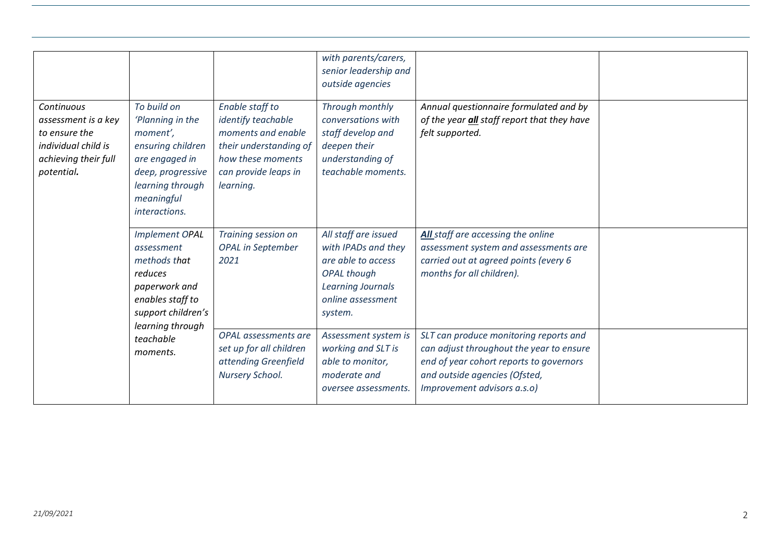|                                                                                                                 |                                                                                                                                                            |                                                                                                                                                 | with parents/carers,<br>senior leadership and<br>outside agencies                                                                                   |                                                                                                                                                                                               |  |
|-----------------------------------------------------------------------------------------------------------------|------------------------------------------------------------------------------------------------------------------------------------------------------------|-------------------------------------------------------------------------------------------------------------------------------------------------|-----------------------------------------------------------------------------------------------------------------------------------------------------|-----------------------------------------------------------------------------------------------------------------------------------------------------------------------------------------------|--|
| Continuous<br>assessment is a key<br>to ensure the<br>individual child is<br>achieving their full<br>potential. | To build on<br>'Planning in the<br>moment',<br>ensuring children<br>are engaged in<br>deep, progressive<br>learning through<br>meaningful<br>interactions. | Enable staff to<br>identify teachable<br>moments and enable<br>their understanding of<br>how these moments<br>can provide leaps in<br>learning. | Through monthly<br>conversations with<br>staff develop and<br>deepen their<br>understanding of<br>teachable moments.                                | Annual questionnaire formulated and by<br>of the year <i>all</i> staff report that they have<br>felt supported.                                                                               |  |
|                                                                                                                 | <b>Implement OPAL</b><br>assessment<br>methods that<br>reduces<br>paperwork and<br>enables staff to<br>support children's<br>learning through              | Training session on<br><b>OPAL</b> in September<br>2021                                                                                         | All staff are issued<br>with IPADs and they<br>are able to access<br><b>OPAL</b> though<br><b>Learning Journals</b><br>online assessment<br>system. | All staff are accessing the online<br>assessment system and assessments are<br>carried out at agreed points (every 6<br>months for all children).                                             |  |
|                                                                                                                 | teachable<br>moments.                                                                                                                                      | OPAL assessments are<br>set up for all children<br>attending Greenfield<br>Nursery School.                                                      | Assessment system is<br>working and SLT is<br>able to monitor,<br>moderate and<br>oversee assessments.                                              | SLT can produce monitoring reports and<br>can adjust throughout the year to ensure<br>end of year cohort reports to governors<br>and outside agencies (Ofsted,<br>Improvement advisors a.s.o) |  |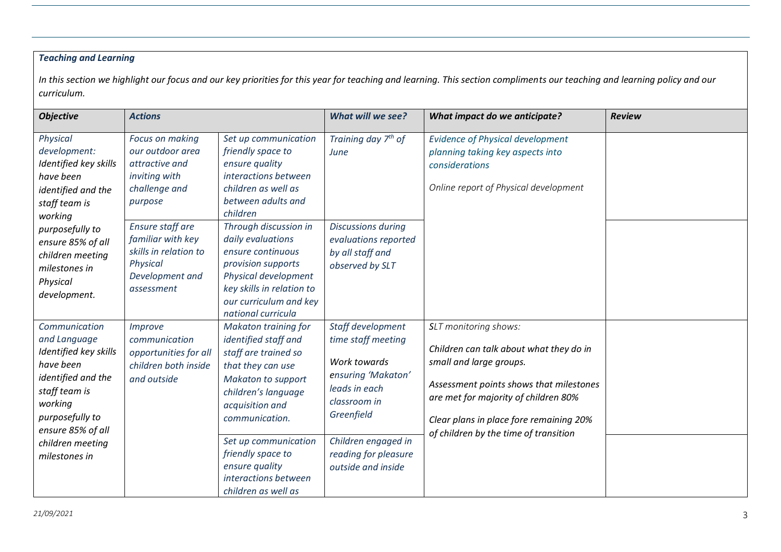## *Teaching and Learning*

*In this section we highlight our focus and our key priorities for this year for teaching and learning. This section compliments our teaching and learning policy and our curriculum.* 

| <b>Objective</b>                                                                                                                                                                                   | <b>Actions</b>                                                                                                                |                                                                                                                                                                                                                                                          | What will we see?                                                                                                                                                                                 | What impact do we anticipate?                                                                                                                                                                                                                                      | <b>Review</b> |
|----------------------------------------------------------------------------------------------------------------------------------------------------------------------------------------------------|-------------------------------------------------------------------------------------------------------------------------------|----------------------------------------------------------------------------------------------------------------------------------------------------------------------------------------------------------------------------------------------------------|---------------------------------------------------------------------------------------------------------------------------------------------------------------------------------------------------|--------------------------------------------------------------------------------------------------------------------------------------------------------------------------------------------------------------------------------------------------------------------|---------------|
| Physical<br>development:<br>Identified key skills<br>have been<br>identified and the<br>staff team is<br>working                                                                                   | Focus on making<br>our outdoor area<br>attractive and<br>inviting with<br>challenge and<br>purpose<br><b>Ensure staff are</b> | Set up communication<br>friendly space to<br>ensure quality<br>interactions between<br>children as well as<br>between adults and<br>children                                                                                                             | Training day 7 <sup>th</sup> of<br>June                                                                                                                                                           | <b>Evidence of Physical development</b><br>planning taking key aspects into<br>considerations<br>Online report of Physical development                                                                                                                             |               |
| purposefully to<br>ensure 85% of all<br>children meeting<br>milestones in<br>Physical<br>development.                                                                                              | familiar with key<br>skills in relation to<br>Physical<br>Development and<br>assessment                                       | Through discussion in<br>daily evaluations<br>ensure continuous<br>provision supports<br>Physical development<br>key skills in relation to<br>our curriculum and key<br>national curricula                                                               | <b>Discussions during</b><br>evaluations reported<br>by all staff and<br>observed by SLT                                                                                                          |                                                                                                                                                                                                                                                                    |               |
| Communication<br>and Language<br>Identified key skills<br>have been<br>identified and the<br>staff team is<br>working<br>purposefully to<br>ensure 85% of all<br>children meeting<br>milestones in | <i>Improve</i><br>communication<br>opportunities for all<br>children both inside<br>and outside                               | <b>Makaton training for</b><br>identified staff and<br>staff are trained so<br>that they can use<br><b>Makaton to support</b><br>children's language<br>acquisition and<br>communication.<br>Set up communication<br>friendly space to<br>ensure quality | Staff development<br>time staff meeting<br>Work towards<br>ensuring 'Makaton'<br>leads in each<br>classroom in<br>Greenfield<br>Children engaged in<br>reading for pleasure<br>outside and inside | SLT monitoring shows:<br>Children can talk about what they do in<br>small and large groups.<br>Assessment points shows that milestones<br>are met for majority of children 80%<br>Clear plans in place fore remaining 20%<br>of children by the time of transition |               |
|                                                                                                                                                                                                    |                                                                                                                               | interactions between<br>children as well as                                                                                                                                                                                                              |                                                                                                                                                                                                   |                                                                                                                                                                                                                                                                    |               |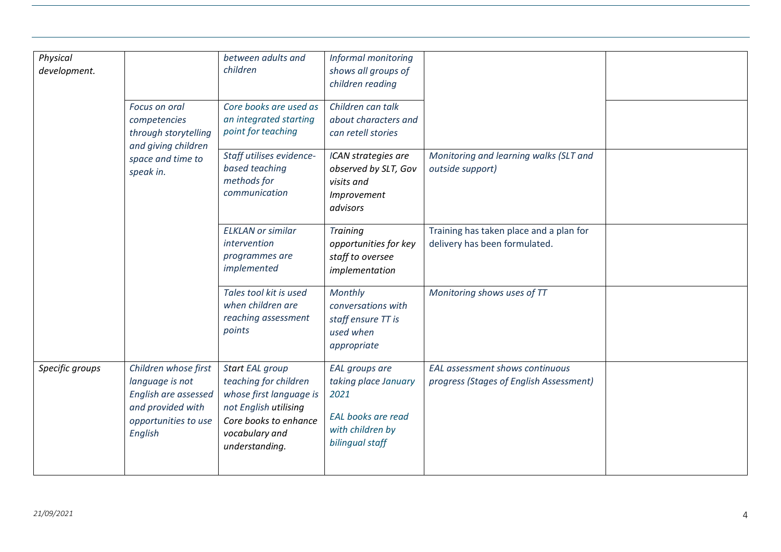| Physical<br>development. |                                                                                                                         | between adults and<br>children                                                                                                                            | Informal monitoring<br>shows all groups of<br>children reading                                                     |                                                                            |  |
|--------------------------|-------------------------------------------------------------------------------------------------------------------------|-----------------------------------------------------------------------------------------------------------------------------------------------------------|--------------------------------------------------------------------------------------------------------------------|----------------------------------------------------------------------------|--|
|                          | Focus on oral<br>competencies<br>through storytelling<br>and giving children                                            | Core books are used as<br>an integrated starting<br>point for teaching                                                                                    | Children can talk<br>about characters and<br>can retell stories                                                    |                                                                            |  |
|                          | space and time to<br>speak in.                                                                                          | Staff utilises evidence-<br>based teaching<br>methods for<br>communication                                                                                | ICAN strategies are<br>observed by SLT, Gov<br>visits and<br>Improvement<br>advisors                               | Monitoring and learning walks (SLT and<br>outside support)                 |  |
|                          |                                                                                                                         | <b>ELKLAN</b> or similar<br>intervention<br>programmes are<br>implemented                                                                                 | <b>Training</b><br>opportunities for key<br>staff to oversee<br>implementation                                     | Training has taken place and a plan for<br>delivery has been formulated.   |  |
|                          |                                                                                                                         | Tales tool kit is used<br>when children are<br>reaching assessment<br>points                                                                              | Monthly<br>conversations with<br>staff ensure TT is<br>used when<br>appropriate                                    | Monitoring shows uses of TT                                                |  |
| Specific groups          | Children whose first<br>language is not<br>English are assessed<br>and provided with<br>opportunities to use<br>English | Start EAL group<br>teaching for children<br>whose first language is<br>not English utilising<br>Core books to enhance<br>vocabulary and<br>understanding. | <b>EAL</b> groups are<br>taking place January<br>2021<br>EAL books are read<br>with children by<br>bilingual staff | EAL assessment shows continuous<br>progress (Stages of English Assessment) |  |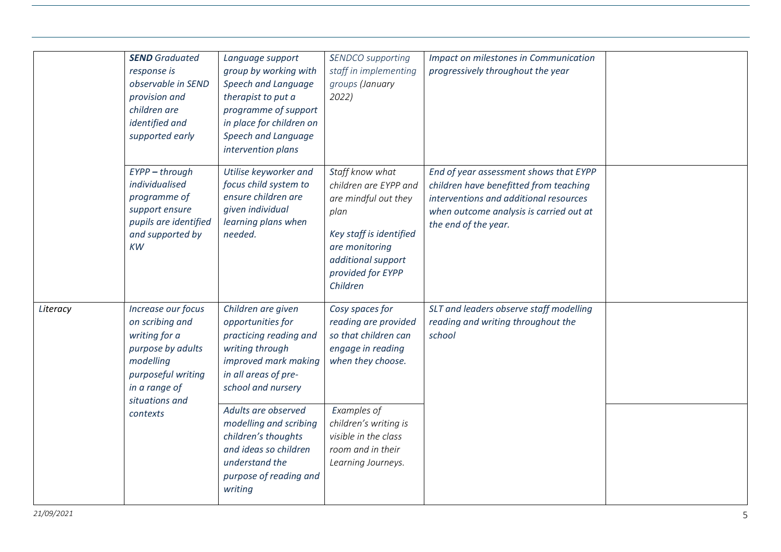|          | <b>SEND</b> Graduated<br>response is<br>observable in SEND<br>provision and<br>children are<br>identified and<br>supported early                  | Language support<br>group by working with<br>Speech and Language<br>therapist to put a<br>programme of support<br>in place for children on<br>Speech and Language<br>intervention plans | <b>SENDCO</b> supporting<br>staff in implementing<br>groups (January<br>2022)                                                                                                | Impact on milestones in Communication<br>progressively throughout the year                                                                                                                    |  |
|----------|---------------------------------------------------------------------------------------------------------------------------------------------------|-----------------------------------------------------------------------------------------------------------------------------------------------------------------------------------------|------------------------------------------------------------------------------------------------------------------------------------------------------------------------------|-----------------------------------------------------------------------------------------------------------------------------------------------------------------------------------------------|--|
|          | EYPP - through<br>individualised<br>programme of<br>support ensure<br>pupils are identified<br>and supported by<br>KW                             | Utilise keyworker and<br>focus child system to<br>ensure children are<br>given individual<br>learning plans when<br>needed.                                                             | Staff know what<br>children are EYPP and<br>are mindful out they<br>plan<br>Key staff is identified<br>are monitoring<br>additional support<br>provided for EYPP<br>Children | End of year assessment shows that EYPP<br>children have benefitted from teaching<br>interventions and additional resources<br>when outcome analysis is carried out at<br>the end of the year. |  |
| Literacy | Increase our focus<br>on scribing and<br>writing for a<br>purpose by adults<br>modelling<br>purposeful writing<br>in a range of<br>situations and | Children are given<br>opportunities for<br>practicing reading and<br>writing through<br>improved mark making<br>in all areas of pre-<br>school and nursery                              | Cosy spaces for<br>reading are provided<br>so that children can<br>engage in reading<br>when they choose.                                                                    | SLT and leaders observe staff modelling<br>reading and writing throughout the<br>school                                                                                                       |  |
|          | contexts                                                                                                                                          | Adults are observed<br>modelling and scribing<br>children's thoughts<br>and ideas so children<br>understand the<br>purpose of reading and<br>writing                                    | Examples of<br>children's writing is<br>visible in the class<br>room and in their<br>Learning Journeys.                                                                      |                                                                                                                                                                                               |  |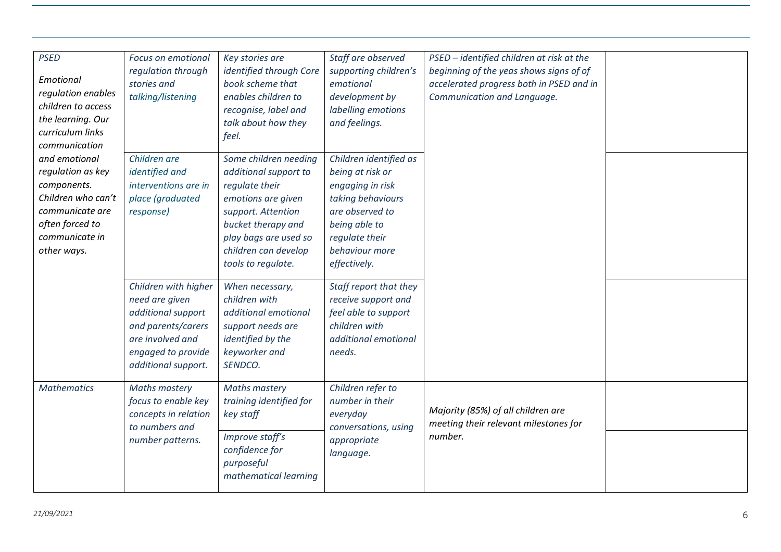| <b>PSED</b><br>Emotional<br>regulation enables<br>children to access<br>the learning. Our<br>curriculum links<br>communication                 | Focus on emotional<br>regulation through<br>stories and<br>talking/listening                                                                        | Key stories are<br>identified through Core<br>book scheme that<br>enables children to<br>recognise, label and<br>talk about how they<br>feel.                                                             | Staff are observed<br>supporting children's<br>emotional<br>development by<br>labelling emotions<br>and feelings.                                                           | PSED - identified children at risk at the<br>beginning of the yeas shows signs of of<br>accelerated progress both in PSED and in<br>Communication and Language. |  |
|------------------------------------------------------------------------------------------------------------------------------------------------|-----------------------------------------------------------------------------------------------------------------------------------------------------|-----------------------------------------------------------------------------------------------------------------------------------------------------------------------------------------------------------|-----------------------------------------------------------------------------------------------------------------------------------------------------------------------------|-----------------------------------------------------------------------------------------------------------------------------------------------------------------|--|
| and emotional<br>regulation as key<br>components.<br>Children who can't<br>communicate are<br>often forced to<br>communicate in<br>other ways. | Children are<br>identified and<br>interventions are in<br>place (graduated<br>response)                                                             | Some children needing<br>additional support to<br>regulate their<br>emotions are given<br>support. Attention<br>bucket therapy and<br>play bags are used so<br>children can develop<br>tools to regulate. | Children identified as<br>being at risk or<br>engaging in risk<br>taking behaviours<br>are observed to<br>being able to<br>regulate their<br>behaviour more<br>effectively. |                                                                                                                                                                 |  |
|                                                                                                                                                | Children with higher<br>need are given<br>additional support<br>and parents/carers<br>are involved and<br>engaged to provide<br>additional support. | When necessary,<br>children with<br>additional emotional<br>support needs are<br>identified by the<br>keyworker and<br>SENDCO.                                                                            | Staff report that they<br>receive support and<br>feel able to support<br>children with<br>additional emotional<br>needs.                                                    |                                                                                                                                                                 |  |
| <b>Mathematics</b>                                                                                                                             | <b>Maths mastery</b><br>focus to enable key<br>concepts in relation<br>to numbers and<br>number patterns.                                           | Maths mastery<br>training identified for<br>key staff<br>Improve staff's<br>confidence for<br>purposeful<br>mathematical learning                                                                         | Children refer to<br>number in their<br>everyday<br>conversations, using<br>appropriate<br>language.                                                                        | Majority (85%) of all children are<br>meeting their relevant milestones for<br>number.                                                                          |  |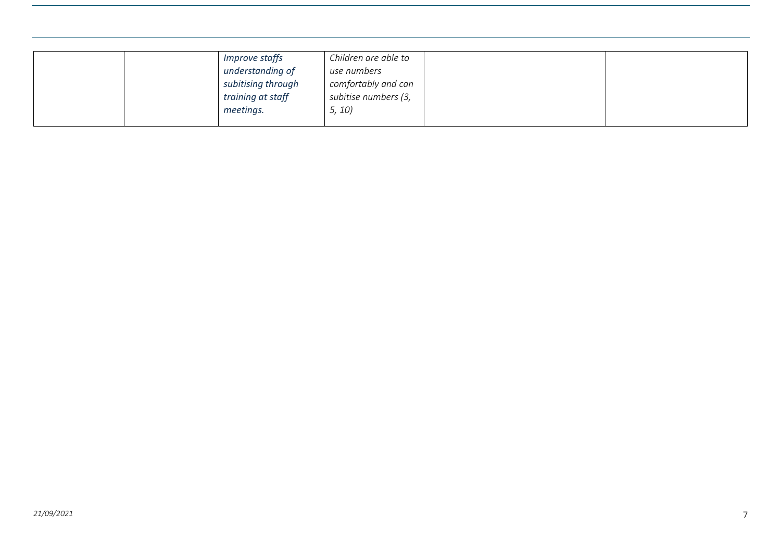|  | <i>Improve staffs</i> | Children are able to |  |
|--|-----------------------|----------------------|--|
|  | understanding of      | use numbers          |  |
|  | subitising through    | comfortably and can  |  |
|  | training at staff     | subitise numbers (3, |  |
|  | meetings.             | 5, 10                |  |
|  |                       |                      |  |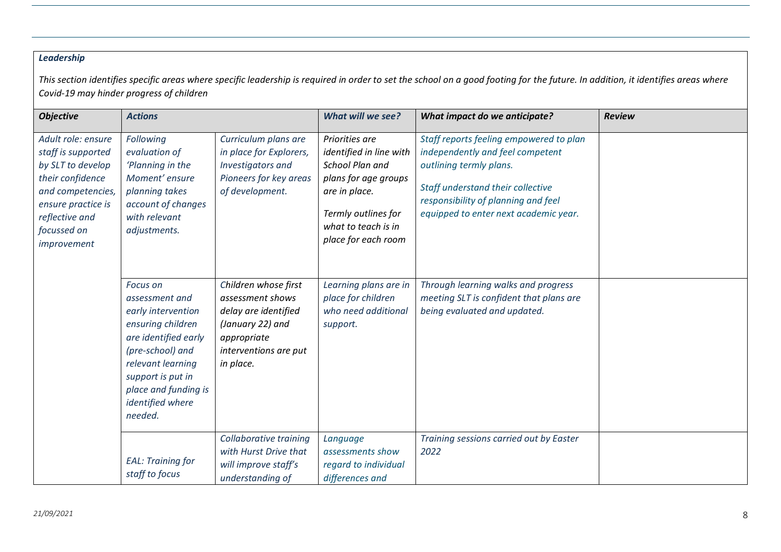## *Leadership*

This section identifies specific areas where specific leadership is required in order to set the school on a good footing for the future. In addition, it identifies areas where *Covid-19 may hinder progress of children* 

| <b>Objective</b>                                                                                                                                                             | <b>Actions</b>                                                                                                                                                                                                     |                                                                                                                                           | What will we see?                                                                                                                                                          | <b>What impact do we anticipate?</b>                                                                                                                                                                                        | <b>Review</b> |
|------------------------------------------------------------------------------------------------------------------------------------------------------------------------------|--------------------------------------------------------------------------------------------------------------------------------------------------------------------------------------------------------------------|-------------------------------------------------------------------------------------------------------------------------------------------|----------------------------------------------------------------------------------------------------------------------------------------------------------------------------|-----------------------------------------------------------------------------------------------------------------------------------------------------------------------------------------------------------------------------|---------------|
| Adult role: ensure<br>staff is supported<br>by SLT to develop<br>their confidence<br>and competencies,<br>ensure practice is<br>reflective and<br>focussed on<br>improvement | Following<br>evaluation of<br>'Planning in the<br>Moment' ensure<br>planning takes<br>account of changes<br>with relevant<br>adjustments.                                                                          | Curriculum plans are<br>in place for Explorers,<br>Investigators and<br>Pioneers for key areas<br>of development.                         | Priorities are<br>identified in line with<br>School Plan and<br>plans for age groups<br>are in place.<br>Termly outlines for<br>what to teach is in<br>place for each room | Staff reports feeling empowered to plan<br>independently and feel competent<br>outlining termly plans.<br>Staff understand their collective<br>responsibility of planning and feel<br>equipped to enter next academic year. |               |
|                                                                                                                                                                              | Focus on<br>assessment and<br>early intervention<br>ensuring children<br>are identified early<br>(pre-school) and<br>relevant learning<br>support is put in<br>place and funding is<br>identified where<br>needed. | Children whose first<br>assessment shows<br>delay are identified<br>(January 22) and<br>appropriate<br>interventions are put<br>in place. | Learning plans are in<br>place for children<br>who need additional<br>support.                                                                                             | Through learning walks and progress<br>meeting SLT is confident that plans are<br>being evaluated and updated.                                                                                                              |               |
|                                                                                                                                                                              | <b>EAL: Training for</b><br>staff to focus                                                                                                                                                                         | Collaborative training<br>with Hurst Drive that<br>will improve staff's<br>understanding of                                               | Language<br>assessments show<br>regard to individual<br>differences and                                                                                                    | Training sessions carried out by Easter<br>2022                                                                                                                                                                             |               |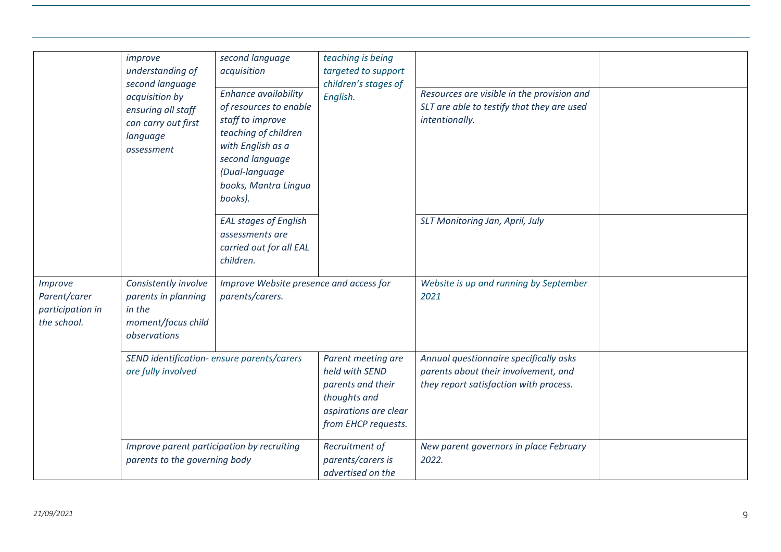|                                             | improve<br>understanding of<br>second language<br>acquisition by<br>ensuring all staff<br>can carry out first<br>language<br>assessment | second language<br>acquisition<br>Enhance availability<br>of resources to enable<br>staff to improve<br>teaching of children<br>with English as a<br>second language<br>(Dual-language<br>books, Mantra Lingua | teaching is being<br>targeted to support<br>children's stages of<br>English.                                              | Resources are visible in the provision and<br>SLT are able to testify that they are used<br>intentionally.               |  |
|---------------------------------------------|-----------------------------------------------------------------------------------------------------------------------------------------|----------------------------------------------------------------------------------------------------------------------------------------------------------------------------------------------------------------|---------------------------------------------------------------------------------------------------------------------------|--------------------------------------------------------------------------------------------------------------------------|--|
| Improve<br>Parent/carer<br>participation in | Consistently involve<br>parents in planning<br>in the                                                                                   | books).<br><b>EAL stages of English</b><br>assessments are<br>carried out for all EAL<br>children.<br>Improve Website presence and access for<br>parents/carers.                                               |                                                                                                                           | SLT Monitoring Jan, April, July<br>Website is up and running by September<br>2021                                        |  |
| the school.                                 | moment/focus child<br>observations                                                                                                      |                                                                                                                                                                                                                |                                                                                                                           |                                                                                                                          |  |
|                                             | are fully involved                                                                                                                      | SEND identification- ensure parents/carers                                                                                                                                                                     | Parent meeting are<br>held with SEND<br>parents and their<br>thoughts and<br>aspirations are clear<br>from EHCP requests. | Annual questionnaire specifically asks<br>parents about their involvement, and<br>they report satisfaction with process. |  |
|                                             | Improve parent participation by recruiting<br>parents to the governing body                                                             |                                                                                                                                                                                                                | Recruitment of<br>parents/carers is<br>advertised on the                                                                  | New parent governors in place February<br>2022.                                                                          |  |